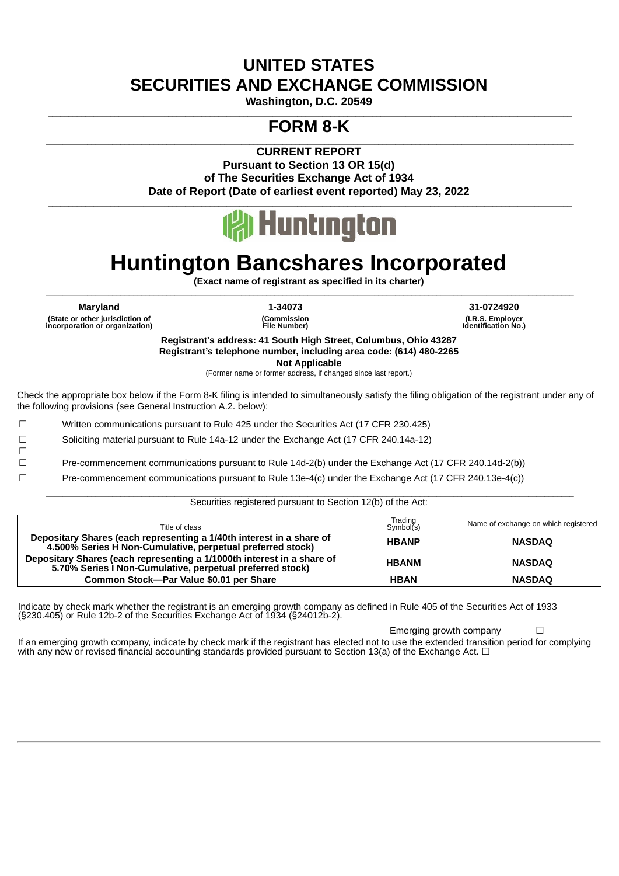# **UNITED STATES SECURITIES AND EXCHANGE COMMISSION**

**Washington, D.C. 20549**  $\mathcal{L}_\mathcal{L} = \{ \mathcal{L}_\mathcal{L} = \{ \mathcal{L}_\mathcal{L} = \{ \mathcal{L}_\mathcal{L} = \{ \mathcal{L}_\mathcal{L} = \{ \mathcal{L}_\mathcal{L} = \{ \mathcal{L}_\mathcal{L} = \{ \mathcal{L}_\mathcal{L} = \{ \mathcal{L}_\mathcal{L} = \{ \mathcal{L}_\mathcal{L} = \{ \mathcal{L}_\mathcal{L} = \{ \mathcal{L}_\mathcal{L} = \{ \mathcal{L}_\mathcal{L} = \{ \mathcal{L}_\mathcal{L} = \{ \mathcal{L}_\mathcal{$ 

## **FORM 8-K**

 $\_$  , and the set of the set of the set of the set of the set of the set of the set of the set of the set of the set of the set of the set of the set of the set of the set of the set of the set of the set of the set of th **CURRENT REPORT**

> **Pursuant to Section 13 OR 15(d) of The Securities Exchange Act of 1934 Date of Report (Date of earliest event reported) May 23, 2022**



\_\_\_\_\_\_\_\_\_\_\_\_\_\_\_\_\_\_\_\_\_\_\_\_\_\_\_\_\_\_\_\_\_\_\_\_\_\_\_\_\_\_\_\_\_\_\_\_\_\_\_\_\_\_\_\_\_\_\_\_\_\_\_\_\_\_\_\_\_\_\_\_\_\_\_\_\_\_\_\_\_\_\_\_\_\_\_\_\_\_\_\_\_\_\_\_\_\_\_\_\_\_\_\_\_\_\_\_\_\_\_\_\_\_\_\_\_\_\_\_\_\_\_\_\_\_

# **Huntington Bancshares Incorporated**

**(Exact name of registrant as specified in its charter)**

**Maryland 1-34073 31-0724920 (State or other jurisdiction of incorporation or organization)**

 $\Box$ 

**(Commission File Number)**

**(I.R.S. Employer Identification No.)**

**Registrant's address: 41 South High Street, Columbus, Ohio 43287 Registrant's telephone number, including area code: (614) 480-2265 Not Applicable**

(Former name or former address, if changed since last report.)

Check the appropriate box below if the Form 8-K filing is intended to simultaneously satisfy the filing obligation of the registrant under any of the following provisions (see General Instruction A.2. below):

☐ Written communications pursuant to Rule 425 under the Securities Act (17 CFR 230.425)

☐ Soliciting material pursuant to Rule 14a-12 under the Exchange Act (17 CFR 240.14a-12)

☐ Pre-commencement communications pursuant to Rule 14d-2(b) under the Exchange Act (17 CFR 240.14d-2(b))

☐ Pre-commencement communications pursuant to Rule 13e-4(c) under the Exchange Act (17 CFR 240.13e-4(c))

 $\_$  , and the set of the set of the set of the set of the set of the set of the set of the set of the set of the set of the set of the set of the set of the set of the set of the set of the set of the set of the set of th Securities registered pursuant to Section 12(b) of the Act:

| Title of class                                                                                                                      | Trading<br>Symbol(s) | Name of exchange on which registered |
|-------------------------------------------------------------------------------------------------------------------------------------|----------------------|--------------------------------------|
| Depositary Shares (each representing a 1/40th interest in a share of<br>4.500% Series H Non-Cumulative, perpetual preferred stock)  | <b>HBANP</b>         | <b>NASDAO</b>                        |
| Depositary Shares (each representing a 1/1000th interest in a share of<br>5.70% Series I Non-Cumulative, perpetual preferred stock) | <b>HBANM</b>         | <b>NASDAO</b>                        |
| Common Stock-Par Value \$0.01 per Share                                                                                             | <b>HBAN</b>          | <b>NASDAO</b>                        |

Indicate by check mark whether the registrant is an emerging growth company as defined in Rule 405 of the Securities Act of 1933 (§230.405) or Rule 12b-2 of the Securities Exchange Act of 1934 (§24012b-2).

Emerging growth company  $\Box$ 

If an emerging growth company, indicate by check mark if the registrant has elected not to use the extended transition period for complying with any new or revised financial accounting standards provided pursuant to Section 13(a) of the Exchange Act. □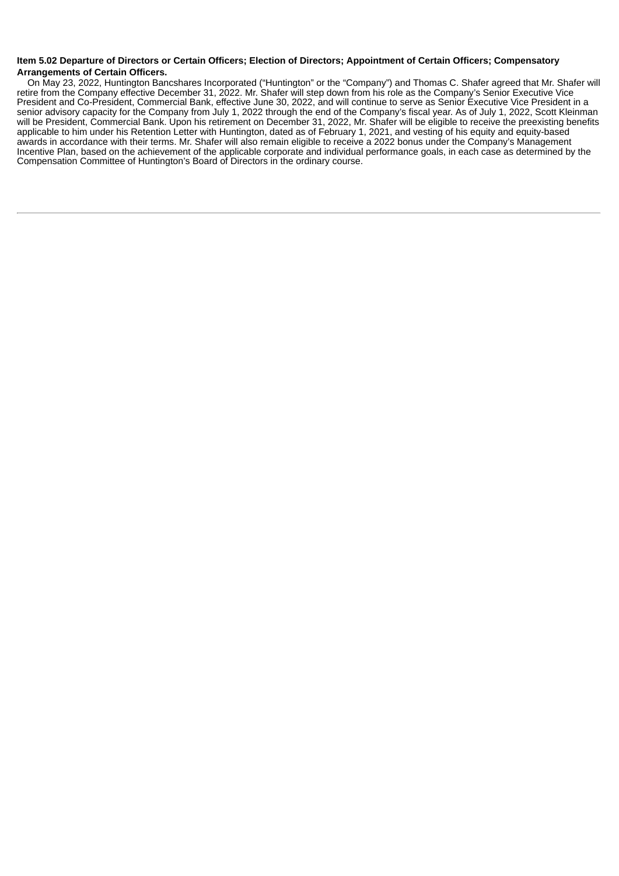#### Item 5.02 Departure of Directors or Certain Officers; Election of Directors; Appointment of Certain Officers; Compensatory **Arrangements of Certain Officers.**

On May 23, 2022, Huntington Bancshares Incorporated ("Huntington" or the "Company") and Thomas C. Shafer agreed that Mr. Shafer will retire from the Company effective December 31, 2022. Mr. Shafer will step down from his role as the Company's Senior Executive Vice President and Co-President, Commercial Bank, effective June 30, 2022, and will continue to serve as Senior Executive Vice President in a senior advisory capacity for the Company from July 1, 2022 through the end of the Company's fiscal year. As of July 1, 2022, Scott Kleinman will be President, Commercial Bank. Upon his retirement on December 31, 2022, Mr. Shafer will be eligible to receive the preexisting benefits applicable to him under his Retention Letter with Huntington, dated as of February 1, 2021, and vesting of his equity and equity-based awards in accordance with their terms. Mr. Shafer will also remain eligible to receive a 2022 bonus under the Company's Management Incentive Plan, based on the achievement of the applicable corporate and individual performance goals, in each case as determined by the Compensation Committee of Huntington's Board of Directors in the ordinary course.